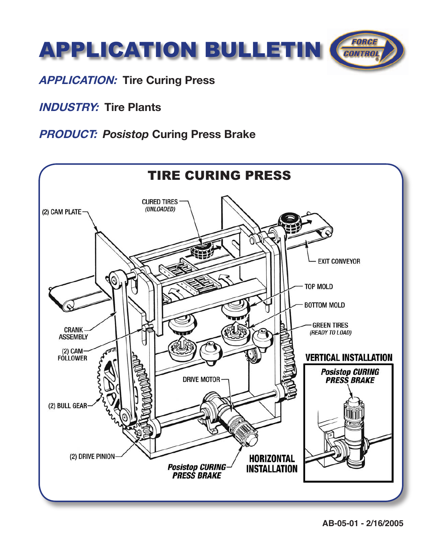

## **APPLICATION: Tire Curing Press**

**INDUSTRY: Tire Plants**

## **PRODUCT:** *Posistop* **Curing Press Brake**



**AB-05-01 - 2/16/2005**